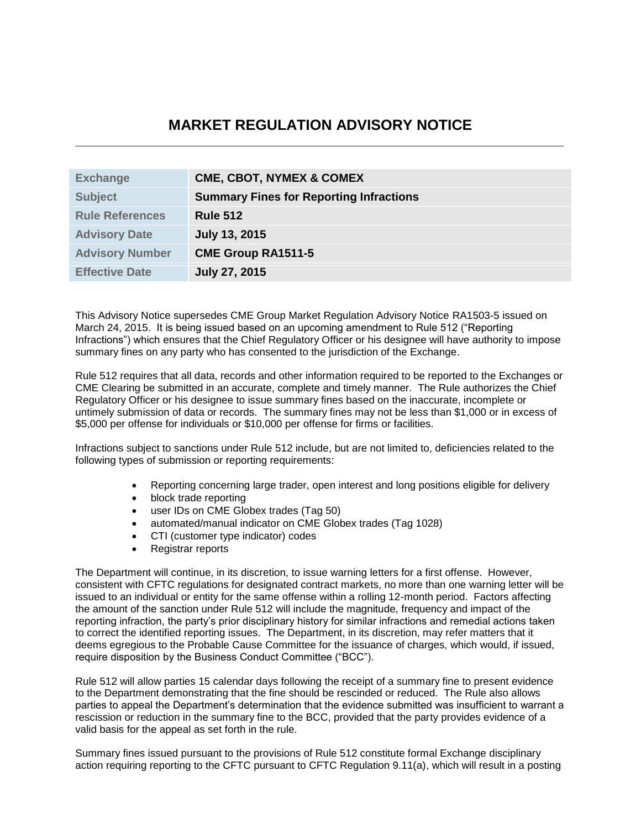# **MARKET REGULATION ADVISORY NOTICE \_\_\_\_\_\_\_\_\_\_\_\_\_\_\_\_\_\_\_\_\_\_\_\_\_\_\_\_\_\_\_\_\_\_\_\_\_\_\_\_\_\_\_\_\_\_\_\_\_\_\_\_\_\_\_\_\_\_\_\_\_\_\_\_\_\_\_\_\_\_**

| <b>Exchange</b>        | <b>CME, CBOT, NYMEX &amp; COMEX</b>            |
|------------------------|------------------------------------------------|
| <b>Subject</b>         | <b>Summary Fines for Reporting Infractions</b> |
| <b>Rule References</b> | <b>Rule 512</b>                                |
| <b>Advisory Date</b>   | <b>July 13, 2015</b>                           |
| <b>Advisory Number</b> | <b>CME Group RA1511-5</b>                      |
| <b>Effective Date</b>  | <b>July 27, 2015</b>                           |

This Advisory Notice supersedes CME Group Market Regulation Advisory Notice RA1503-5 issued on March 24, 2015. It is being issued based on an upcoming amendment to Rule 512 ("Reporting Infractions") which ensures that the Chief Regulatory Officer or his designee will have authority to impose summary fines on any party who has consented to the jurisdiction of the Exchange.

Rule 512 requires that all data, records and other information required to be reported to the Exchanges or CME Clearing be submitted in an accurate, complete and timely manner. The Rule authorizes the Chief Regulatory Officer or his designee to issue summary fines based on the inaccurate, incomplete or untimely submission of data or records. The summary fines may not be less than \$1,000 or in excess of \$5,000 per offense for individuals or \$10,000 per offense for firms or facilities.

Infractions subject to sanctions under Rule 512 include, but are not limited to, deficiencies related to the following types of submission or reporting requirements:

- Reporting concerning large trader, open interest and long positions eligible for delivery
- block trade reporting
- user IDs on CME Globex trades (Tag 50)
- automated/manual indicator on CME Globex trades (Tag 1028)
- CTI (customer type indicator) codes
- Registrar reports

The Department will continue, in its discretion, to issue warning letters for a first offense. However, consistent with CFTC regulations for designated contract markets, no more than one warning letter will be issued to an individual or entity for the same offense within a rolling 12-month period. Factors affecting the amount of the sanction under Rule 512 will include the magnitude, frequency and impact of the reporting infraction, the party's prior disciplinary history for similar infractions and remedial actions taken to correct the identified reporting issues. The Department, in its discretion, may refer matters that it deems egregious to the Probable Cause Committee for the issuance of charges, which would, if issued, require disposition by the Business Conduct Committee ("BCC").

Rule 512 will allow parties 15 calendar days following the receipt of a summary fine to present evidence to the Department demonstrating that the fine should be rescinded or reduced. The Rule also allows parties to appeal the Department's determination that the evidence submitted was insufficient to warrant a rescission or reduction in the summary fine to the BCC, provided that the party provides evidence of a valid basis for the appeal as set forth in the rule.

Summary fines issued pursuant to the provisions of Rule 512 constitute formal Exchange disciplinary action requiring reporting to the CFTC pursuant to CFTC Regulation 9.11(a), which will result in a posting